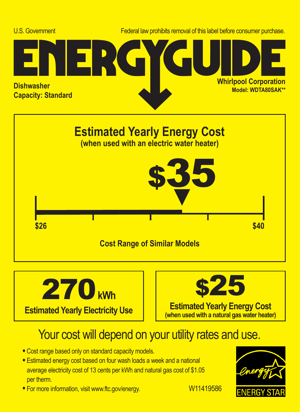





## Your cost will depend on your utility rates and use.

- **•** Cost range based only on standard capacity models.
- **•** Estimated energy cost based on four wash loads a week and a national average electricity cost of 13 cents per kWh and natural gas cost of \$1.05 per therm.
- For more information, visit www.ftc.gov/energy. W11419586